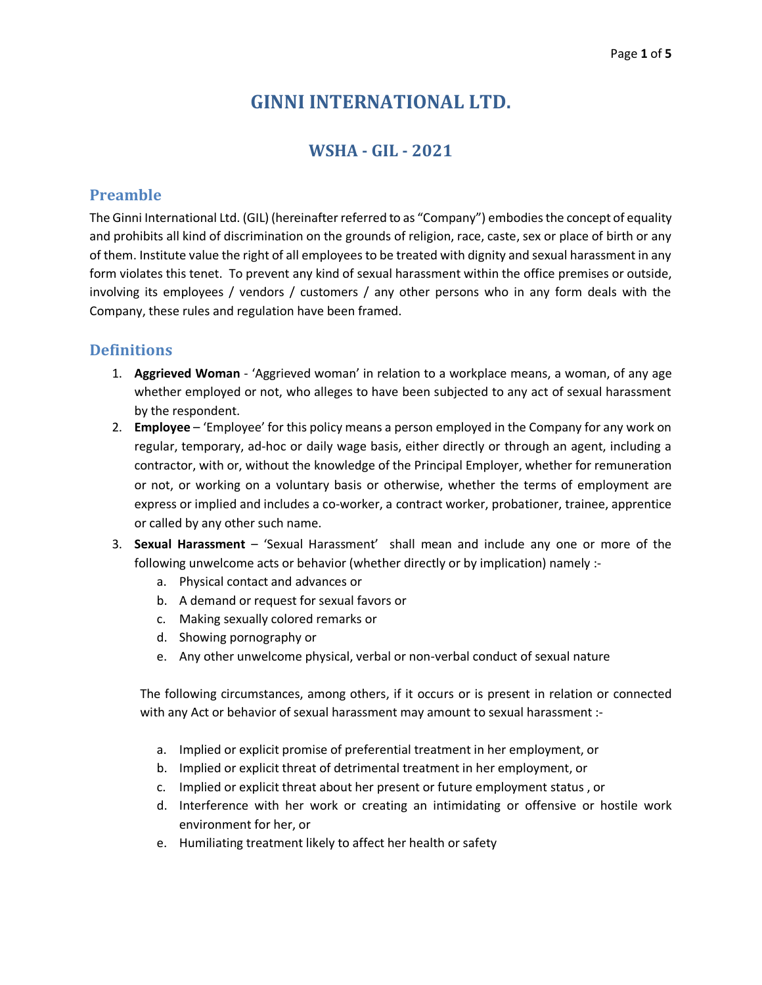# **GINNI INTERNATIONAL LTD.**

# **WSHA - GIL - 2021**

#### **Preamble**

The Ginni International Ltd. (GIL) (hereinafter referred to as "Company") embodies the concept of equality and prohibits all kind of discrimination on the grounds of religion, race, caste, sex or place of birth or any of them. Institute value the right of all employees to be treated with dignity and sexual harassment in any form violates this tenet. To prevent any kind of sexual harassment within the office premises or outside, involving its employees / vendors / customers / any other persons who in any form deals with the Company, these rules and regulation have been framed.

## **Definitions**

- 1. **Aggrieved Woman** 'Aggrieved woman' in relation to a workplace means, a woman, of any age whether employed or not, who alleges to have been subjected to any act of sexual harassment by the respondent.
- 2. **Employee**  'Employee' for this policy means a person employed in the Company for any work on regular, temporary, ad-hoc or daily wage basis, either directly or through an agent, including a contractor, with or, without the knowledge of the Principal Employer, whether for remuneration or not, or working on a voluntary basis or otherwise, whether the terms of employment are express or implied and includes a co-worker, a contract worker, probationer, trainee, apprentice or called by any other such name.
- 3. **Sexual Harassment** 'Sexual Harassment' shall mean and include any one or more of the following unwelcome acts or behavior (whether directly or by implication) namely :
	- a. Physical contact and advances or
	- b. A demand or request for sexual favors or
	- c. Making sexually colored remarks or
	- d. Showing pornography or
	- e. Any other unwelcome physical, verbal or non-verbal conduct of sexual nature

The following circumstances, among others, if it occurs or is present in relation or connected with any Act or behavior of sexual harassment may amount to sexual harassment :-

- a. Implied or explicit promise of preferential treatment in her employment, or
- b. Implied or explicit threat of detrimental treatment in her employment, or
- c. Implied or explicit threat about her present or future employment status , or
- d. Interference with her work or creating an intimidating or offensive or hostile work environment for her, or
- e. Humiliating treatment likely to affect her health or safety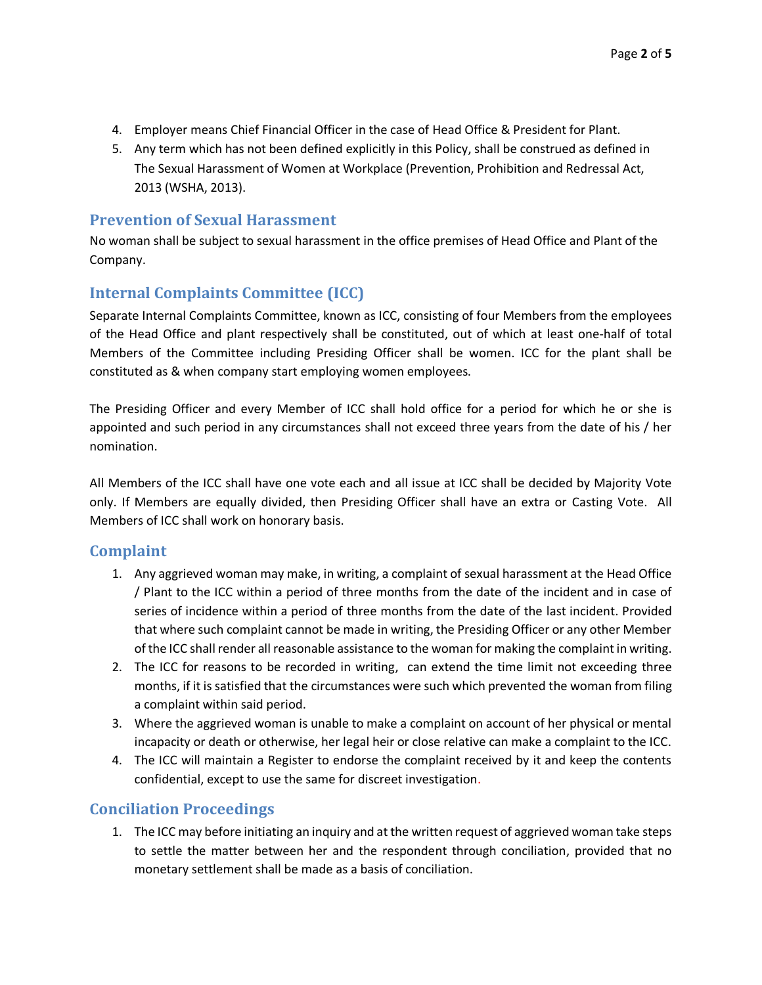- 4. Employer means Chief Financial Officer in the case of Head Office & President for Plant.
- 5. Any term which has not been defined explicitly in this Policy, shall be construed as defined in The Sexual Harassment of Women at Workplace (Prevention, Prohibition and Redressal Act, 2013 (WSHA, 2013).

#### **Prevention of Sexual Harassment**

No woman shall be subject to sexual harassment in the office premises of Head Office and Plant of the Company.

## **Internal Complaints Committee (ICC)**

Separate Internal Complaints Committee, known as ICC, consisting of four Members from the employees of the Head Office and plant respectively shall be constituted, out of which at least one-half of total Members of the Committee including Presiding Officer shall be women. ICC for the plant shall be constituted as & when company start employing women employees.

The Presiding Officer and every Member of ICC shall hold office for a period for which he or she is appointed and such period in any circumstances shall not exceed three years from the date of his / her nomination.

All Members of the ICC shall have one vote each and all issue at ICC shall be decided by Majority Vote only. If Members are equally divided, then Presiding Officer shall have an extra or Casting Vote. All Members of ICC shall work on honorary basis.

#### **Complaint**

- 1. Any aggrieved woman may make, in writing, a complaint of sexual harassment at the Head Office / Plant to the ICC within a period of three months from the date of the incident and in case of series of incidence within a period of three months from the date of the last incident. Provided that where such complaint cannot be made in writing, the Presiding Officer or any other Member of the ICC shall render all reasonable assistance to the woman for making the complaint in writing.
- 2. The ICC for reasons to be recorded in writing, can extend the time limit not exceeding three months, if it is satisfied that the circumstances were such which prevented the woman from filing a complaint within said period.
- 3. Where the aggrieved woman is unable to make a complaint on account of her physical or mental incapacity or death or otherwise, her legal heir or close relative can make a complaint to the ICC.
- 4. The ICC will maintain a Register to endorse the complaint received by it and keep the contents confidential, except to use the same for discreet investigation.

## **Conciliation Proceedings**

1. The ICC may before initiating an inquiry and at the written request of aggrieved woman take steps to settle the matter between her and the respondent through conciliation, provided that no monetary settlement shall be made as a basis of conciliation.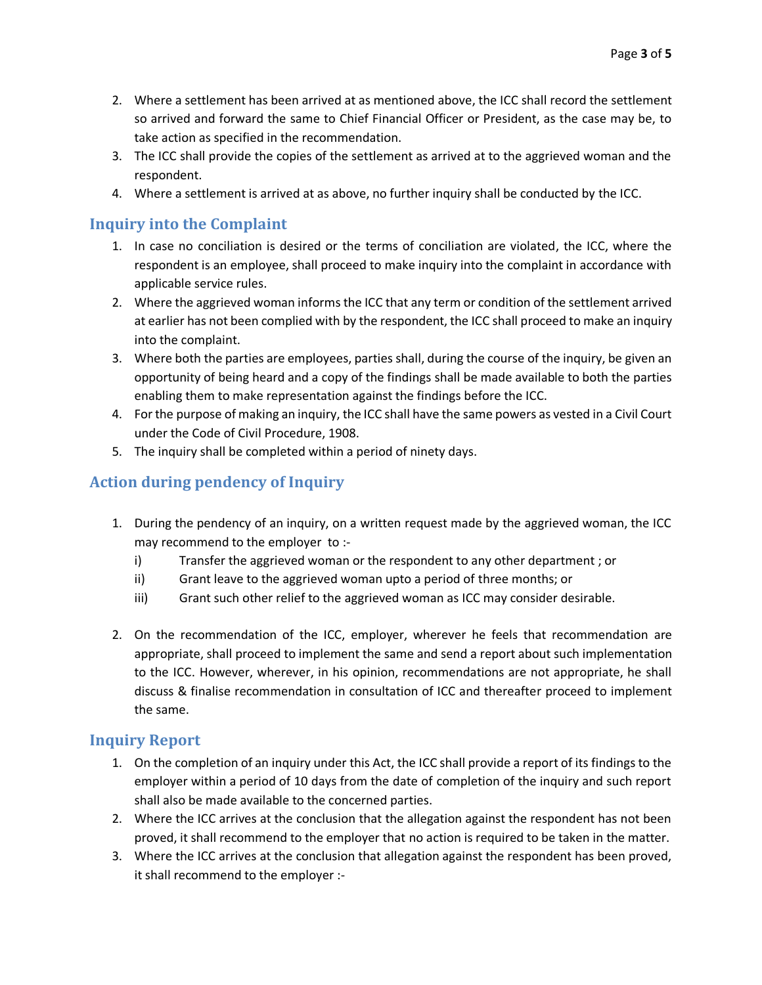- 2. Where a settlement has been arrived at as mentioned above, the ICC shall record the settlement so arrived and forward the same to Chief Financial Officer or President, as the case may be, to take action as specified in the recommendation.
- 3. The ICC shall provide the copies of the settlement as arrived at to the aggrieved woman and the respondent.
- 4. Where a settlement is arrived at as above, no further inquiry shall be conducted by the ICC.

## **Inquiry into the Complaint**

- 1. In case no conciliation is desired or the terms of conciliation are violated, the ICC, where the respondent is an employee, shall proceed to make inquiry into the complaint in accordance with applicable service rules.
- 2. Where the aggrieved woman informs the ICC that any term or condition of the settlement arrived at earlier has not been complied with by the respondent, the ICC shall proceed to make an inquiry into the complaint.
- 3. Where both the parties are employees, parties shall, during the course of the inquiry, be given an opportunity of being heard and a copy of the findings shall be made available to both the parties enabling them to make representation against the findings before the ICC.
- 4. For the purpose of making an inquiry, the ICC shall have the same powers as vested in a Civil Court under the Code of Civil Procedure, 1908.
- 5. The inquiry shall be completed within a period of ninety days.

# **Action during pendency of Inquiry**

- 1. During the pendency of an inquiry, on a written request made by the aggrieved woman, the ICC may recommend to the employer to :
	- i) Transfer the aggrieved woman or the respondent to any other department ; or
	- ii) Grant leave to the aggrieved woman upto a period of three months; or
	- iii) Grant such other relief to the aggrieved woman as ICC may consider desirable.
- 2. On the recommendation of the ICC, employer, wherever he feels that recommendation are appropriate, shall proceed to implement the same and send a report about such implementation to the ICC. However, wherever, in his opinion, recommendations are not appropriate, he shall discuss & finalise recommendation in consultation of ICC and thereafter proceed to implement the same.

#### **Inquiry Report**

- 1. On the completion of an inquiry under this Act, the ICC shall provide a report of its findings to the employer within a period of 10 days from the date of completion of the inquiry and such report shall also be made available to the concerned parties.
- 2. Where the ICC arrives at the conclusion that the allegation against the respondent has not been proved, it shall recommend to the employer that no action is required to be taken in the matter.
- 3. Where the ICC arrives at the conclusion that allegation against the respondent has been proved, it shall recommend to the employer :-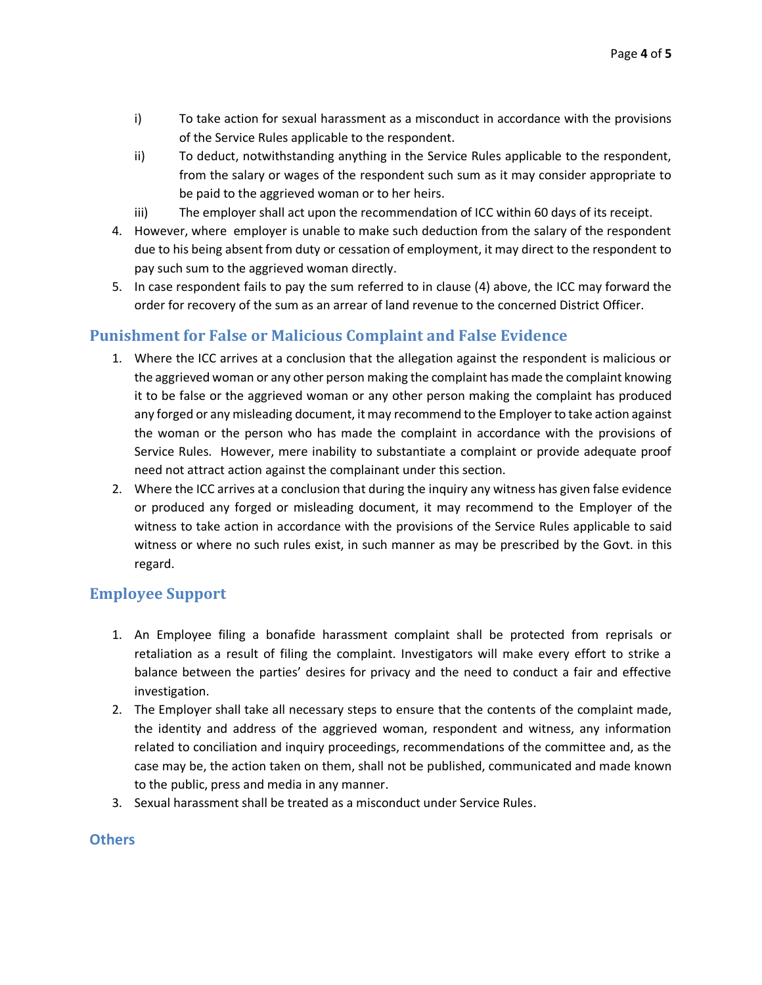- i) To take action for sexual harassment as a misconduct in accordance with the provisions of the Service Rules applicable to the respondent.
- ii) To deduct, notwithstanding anything in the Service Rules applicable to the respondent, from the salary or wages of the respondent such sum as it may consider appropriate to be paid to the aggrieved woman or to her heirs.
- iii) The employer shall act upon the recommendation of ICC within 60 days of its receipt.
- 4. However, where employer is unable to make such deduction from the salary of the respondent due to his being absent from duty or cessation of employment, it may direct to the respondent to pay such sum to the aggrieved woman directly.
- 5. In case respondent fails to pay the sum referred to in clause (4) above, the ICC may forward the order for recovery of the sum as an arrear of land revenue to the concerned District Officer.

## **Punishment for False or Malicious Complaint and False Evidence**

- 1. Where the ICC arrives at a conclusion that the allegation against the respondent is malicious or the aggrieved woman or any other person making the complaint has made the complaint knowing it to be false or the aggrieved woman or any other person making the complaint has produced any forged or any misleading document, it may recommend to the Employer to take action against the woman or the person who has made the complaint in accordance with the provisions of Service Rules. However, mere inability to substantiate a complaint or provide adequate proof need not attract action against the complainant under this section.
- 2. Where the ICC arrives at a conclusion that during the inquiry any witness has given false evidence or produced any forged or misleading document, it may recommend to the Employer of the witness to take action in accordance with the provisions of the Service Rules applicable to said witness or where no such rules exist, in such manner as may be prescribed by the Govt. in this regard.

## **Employee Support**

- 1. An Employee filing a bonafide harassment complaint shall be protected from reprisals or retaliation as a result of filing the complaint. Investigators will make every effort to strike a balance between the parties' desires for privacy and the need to conduct a fair and effective investigation.
- 2. The Employer shall take all necessary steps to ensure that the contents of the complaint made, the identity and address of the aggrieved woman, respondent and witness, any information related to conciliation and inquiry proceedings, recommendations of the committee and, as the case may be, the action taken on them, shall not be published, communicated and made known to the public, press and media in any manner.
- 3. Sexual harassment shall be treated as a misconduct under Service Rules.

#### **Others**